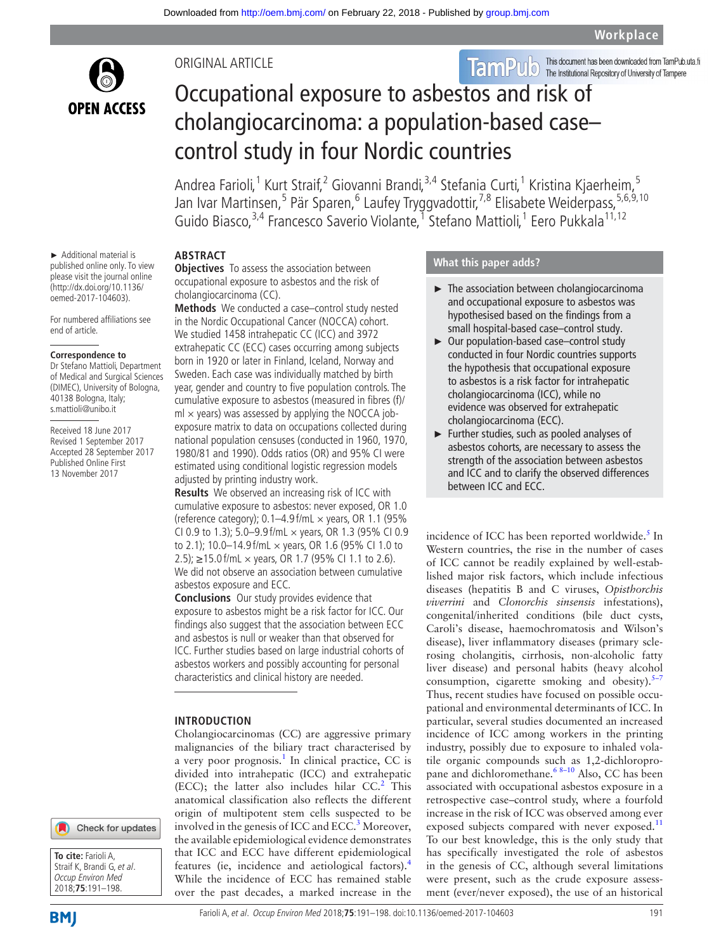

Original Article

# TamPUD This document has been downloaded from TamPub.uta.fi Occupational exposure to asbestos and risk of cholangiocarcinoma: a population-based case– control study in four Nordic countries

Andrea Farioli,<sup>1</sup> Kurt Straif,<sup>2</sup> Giovanni Brandi,<sup>3,4</sup> Stefania Curti,<sup>1</sup> Kristina Kjaerheim,<sup>5</sup> Jan Ivar Martinsen,<sup>5</sup> Pär Sparen,<sup>6</sup> Laufey Tryggvadottir,<sup>7,8</sup> Elisabete Weiderpass,<sup>5,6,9,10</sup> Guido Biasco,<sup>3,4</sup> Francesco Saverio Violante,<sup>1</sup> Stefano Mattioli,<sup>1</sup> Eero Pukkala<sup>11,12</sup>

► Additional material is published online only. To view please visit the journal online (http://dx.doi.org/10.1136/ oemed-2017-104603).

For numbered affiliations see end of article.

#### **Correspondence to**

Dr Stefano Mattioli, Department of Medical and Surgical Sciences (DIMEC), University of Bologna, 40138 Bologna, Italy; s.mattioli@unibo.it

Received 18 June 2017 Revised 1 September 2017 Accepted 28 September 2017 Published Online First 13 November 2017

#### **ABSTRACT**

**Objectives** To assess the association between occupational exposure to asbestos and the risk of cholangiocarcinoma (CC).

**Methods** We conducted a case–control study nested in the Nordic Occupational Cancer (NOCCA) cohort. We studied 1458 intrahepatic CC (ICC) and 3972 extrahepatic CC (ECC) cases occurring among subjects born in 1920 or later in Finland, Iceland, Norway and Sweden. Each case was individually matched by birth year, gender and country to five population controls. The cumulative exposure to asbestos (measured in fibres (f)/  $ml \times \text{years}$ ) was assessed by applying the NOCCA jobexposure matrix to data on occupations collected during national population censuses (conducted in 1960, 1970, 1980/81 and 1990). Odds ratios (OR) and 95% CI were estimated using conditional logistic regression models adjusted by printing industry work.

**Results** We observed an increasing risk of ICC with cumulative exposure to asbestos: never exposed, OR 1.0 (reference category);  $0.1-4.9$  f/mL  $\times$  years, OR 1.1 (95%) CI 0.9 to 1.3);  $5.0 - 9.9$  f/mL  $\times$  years, OR 1.3 (95% CI 0.9 to 2.1); 10.0–14.9 f/mL  $\times$  years, OR 1.6 (95% CI 1.0 to 2.5); ≥15.0 f/mL  $\times$  years, OR 1.7 (95% CI 1.1 to 2.6). We did not observe an association between cumulative asbestos exposure and ECC.

**Conclusions** Our study provides evidence that exposure to asbestos might be a risk factor for ICC. Our findings also suggest that the association between ECC and asbestos is null or weaker than that observed for ICC. Further studies based on large industrial cohorts of asbestos workers and possibly accounting for personal characteristics and clinical history are needed.

#### **Introduction**

Cholangiocarcinomas (CC) are aggressive primary malignancies of the biliary tract characterised by a very poor prognosis.<sup>[1](#page-7-0)</sup> In clinical practice, CC is divided into intrahepatic (ICC) and extrahepatic (ECC); the latter also includes hilar  $CC<sup>2</sup>$  $CC<sup>2</sup>$  $CC<sup>2</sup>$  This anatomical classification also reflects the different origin of multipotent stem cells suspected to be involved in the genesis of ICC and  $\text{ECC}$ <sup>3</sup> Moreover, the available epidemiological evidence demonstrates that ICC and ECC have different epidemiological features (ie, incidence and aetiological factors).[4](#page-7-3) While the incidence of ECC has remained stable over the past decades, a marked increase in the

### **What this paper adds?**

- ► The association between cholangiocarcinoma and occupational exposure to asbestos was hypothesised based on the findings from a small hospital-based case–control study.
- ► Our population-based case–control study conducted in four Nordic countries supports the hypothesis that occupational exposure to asbestos is a risk factor for intrahepatic cholangiocarcinoma (ICC), while no evidence was observed for extrahepatic cholangiocarcinoma (ECC).
- ► Further studies, such as pooled analyses of asbestos cohorts, are necessary to assess the strength of the association between asbestos and ICC and to clarify the observed differences between ICC and ECC.

incidence of ICC has been reported worldwide.<sup>5</sup> In Western countries, the rise in the number of cases of ICC cannot be readily explained by well-established major risk factors, which include infectious diseases (hepatitis B and C viruses, *Opisthorchis viverrini* and *Clonorchis sinsensis* infestations), congenital/inherited conditions (bile duct cysts, Caroli's disease, haemochromatosis and Wilson's disease), liver inflammatory diseases (primary sclerosing cholangitis, cirrhosis, non-alcoholic fatty liver disease) and personal habits (heavy alcohol consumption, cigarette smoking and obesity). $5-7$ Thus, recent studies have focused on possible occupational and environmental determinants of ICC. In particular, several studies documented an increased incidence of ICC among workers in the printing industry, possibly due to exposure to inhaled volatile organic compounds such as 1,2-dichloropropane and dichloromethane.[6 8–10](#page-7-5) Also, CC has been associated with occupational asbestos exposure in a retrospective case–control study, where a fourfold increase in the risk of ICC was observed among ever exposed subjects compared with never exposed.<sup>[11](#page-7-6)</sup> To our best knowledge, this is the only study that has specifically investigated the role of asbestos in the genesis of CC, although several limitations were present, such as the crude exposure assessment (ever/never exposed), the use of an historical



**To cite:** Farioli A, Straif K, Brandi G, et al. Occup Environ Med 2018;**75**:191–198.

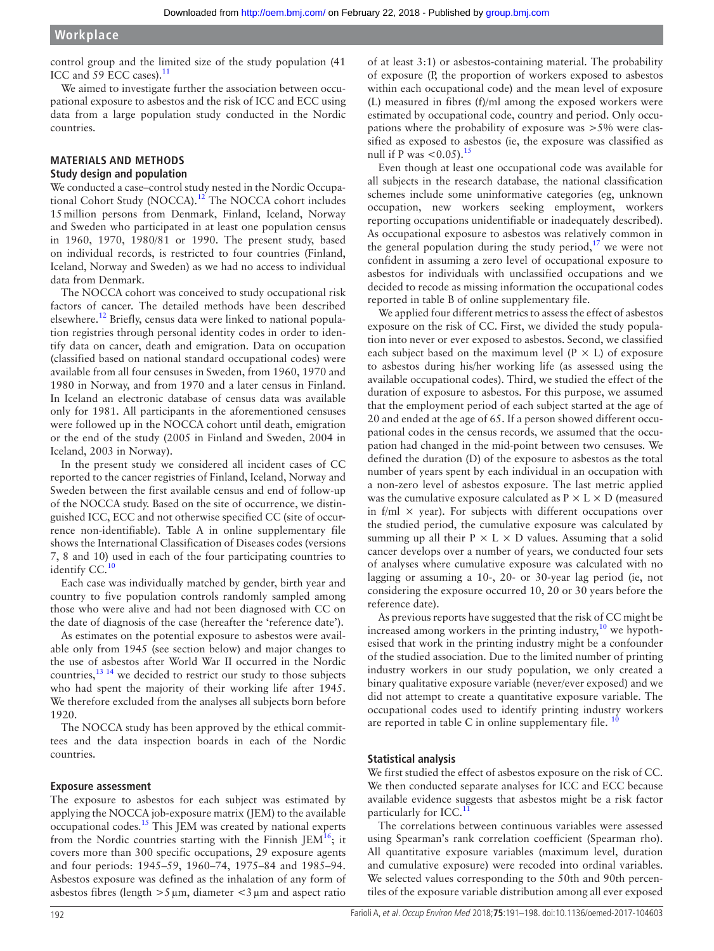control group and the limited size of the study population (41 ICC and 59 ECC cases).<sup>11</sup>

We aimed to investigate further the association between occupational exposure to asbestos and the risk of ICC and ECC using data from a large population study conducted in the Nordic countries.

# **Materials and methods**

# **Study design and population**

We conducted a case–control study nested in the Nordic Occupa-tional Cohort Study (NOCCA).<sup>[12](#page-7-7)</sup> The NOCCA cohort includes 15million persons from Denmark, Finland, Iceland, Norway and Sweden who participated in at least one population census in 1960, 1970, 1980/81 or 1990. The present study, based on individual records, is restricted to four countries (Finland, Iceland, Norway and Sweden) as we had no access to individual data from Denmark.

The NOCCA cohort was conceived to study occupational risk factors of cancer. The detailed methods have been described elsewhere.<sup>12</sup> Briefly, census data were linked to national population registries through personal identity codes in order to identify data on cancer, death and emigration. Data on occupation (classified based on national standard occupational codes) were available from all four censuses in Sweden, from 1960, 1970 and 1980 in Norway, and from 1970 and a later census in Finland. In Iceland an electronic database of census data was available only for 1981. All participants in the aforementioned censuses were followed up in the NOCCA cohort until death, emigration or the end of the study (2005 in Finland and Sweden, 2004 in Iceland, 2003 in Norway).

In the present study we considered all incident cases of CC reported to the cancer registries of Finland, Iceland, Norway and Sweden between the first available census and end of follow-up of the NOCCA study. Based on the site of occurrence, we distinguished ICC, ECC and not otherwise specified CC (site of occurrence non-identifiable). Table A in online [supplementary file](https://dx.doi.org/10.1136/oemed-2017-104603)  shows the International Classification of Diseases codes (versions 7, 8 and 10) used in each of the four participating countries to identify CC.<sup>[10](#page-7-8)</sup>

Each case was individually matched by gender, birth year and country to five population controls randomly sampled among those who were alive and had not been diagnosed with CC on the date of diagnosis of the case (hereafter the 'reference date').

As estimates on the potential exposure to asbestos were available only from 1945 (see section below) and major changes to the use of asbestos after World War II occurred in the Nordic countries,<sup>[13 14](#page-7-9)</sup> we decided to restrict our study to those subjects who had spent the majority of their working life after 1945. We therefore excluded from the analyses all subjects born before 1920.

The NOCCA study has been approved by the ethical committees and the data inspection boards in each of the Nordic countries.

#### **Exposure assessment**

The exposure to asbestos for each subject was estimated by applying the NOCCA job-exposure matrix (JEM) to the available occupational codes.<sup>15</sup> This JEM was created by national experts from the Nordic countries starting with the Finnish  $[EM<sup>16</sup>]$  $[EM<sup>16</sup>]$  $[EM<sup>16</sup>]$ ; it covers more than 300 specific occupations, 29 exposure agents and four periods: 1945–59, 1960–74, 1975–84 and 1985–94. Asbestos exposure was defined as the inhalation of any form of asbestos fibres (length  $>5 \mu m$ , diameter <3 $\mu$ m and aspect ratio

of at least 3:1) or asbestos-containing material. The probability of exposure (P, the proportion of workers exposed to asbestos within each occupational code) and the mean level of exposure (L) measured in fibres (f)/ml among the exposed workers were estimated by occupational code, country and period. Only occupations where the probability of exposure was >5% were classified as exposed to asbestos (ie, the exposure was classified as null if P was  $< 0.05$ ).<sup>[15](#page-7-10)</sup>

Even though at least one occupational code was available for all subjects in the research database, the national classification schemes include some uninformative categories (eg, unknown occupation, new workers seeking employment, workers reporting occupations unidentifiable or inadequately described). As occupational exposure to asbestos was relatively common in the general population during the study period, $17$  we were not confident in assuming a zero level of occupational exposure to asbestos for individuals with unclassified occupations and we decided to recode as missing information the occupational codes reported in table B of online [supplementary file](https://dx.doi.org/10.1136/oemed-2017-104603).

We applied four different metrics to assess the effect of asbestos exposure on the risk of CC. First, we divided the study population into never or ever exposed to asbestos. Second, we classified each subject based on the maximum level ( $P \times L$ ) of exposure to asbestos during his/her working life (as assessed using the available occupational codes). Third, we studied the effect of the duration of exposure to asbestos. For this purpose, we assumed that the employment period of each subject started at the age of 20 and ended at the age of 65. If a person showed different occupational codes in the census records, we assumed that the occupation had changed in the mid-point between two censuses. We defined the duration (D) of the exposure to asbestos as the total number of years spent by each individual in an occupation with a non-zero level of asbestos exposure. The last metric applied was the cumulative exposure calculated as  $P \times L \times D$  (measured in f/ml  $\times$  year). For subjects with different occupations over the studied period, the cumulative exposure was calculated by summing up all their  $P \times L \times D$  values. Assuming that a solid cancer develops over a number of years, we conducted four sets of analyses where cumulative exposure was calculated with no lagging or assuming a 10-, 20- or 30-year lag period (ie, not considering the exposure occurred 10, 20 or 30 years before the reference date).

As previous reports have suggested that the risk of CC might be increased among workers in the printing industry,  $10$  we hypothesised that work in the printing industry might be a confounder of the studied association. Due to the limited number of printing industry workers in our study population, we only created a binary qualitative exposure variable (never/ever exposed) and we did not attempt to create a quantitative exposure variable. The occupational codes used to identify printing industry workers are reported in table C in online [supplementary file.](https://dx.doi.org/10.1136/oemed-2017-104603)  $10$ 

#### **Statistical analysis**

We first studied the effect of asbestos exposure on the risk of CC. We then conducted separate analyses for ICC and ECC because available evidence suggests that asbestos might be a risk factor particularly for  $ICC.<sup>1</sup>$ 

The correlations between continuous variables were assessed using Spearman's rank correlation coefficient (Spearman rho). All quantitative exposure variables (maximum level, duration and cumulative exposure) were recoded into ordinal variables. We selected values corresponding to the 50th and 90th percentiles of the exposure variable distribution among all ever exposed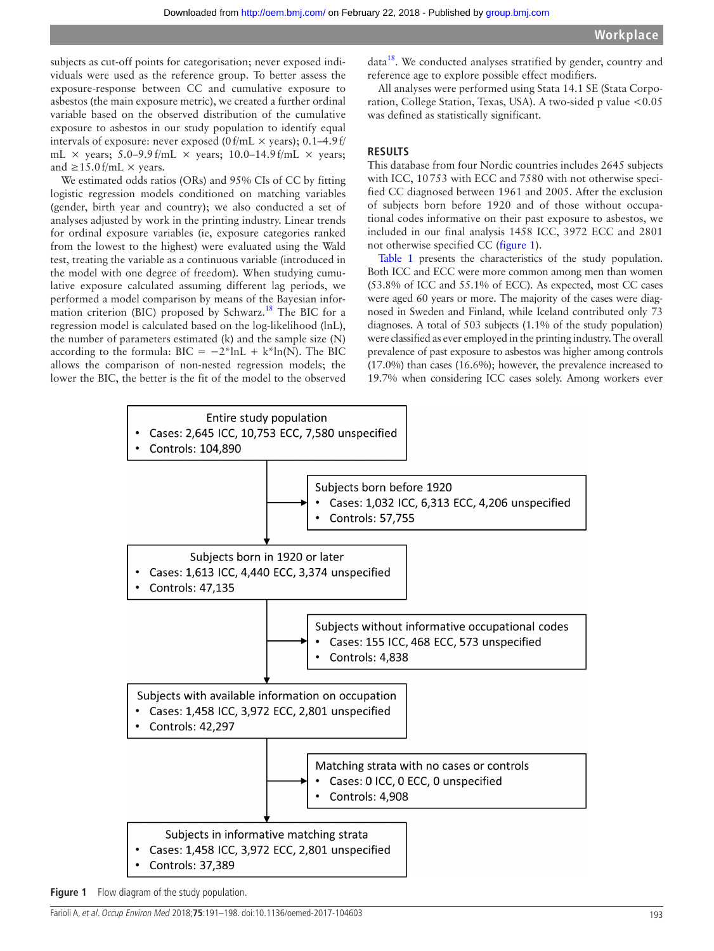subjects as cut-off points for categorisation; never exposed individuals were used as the reference group. To better assess the exposure-response between CC and cumulative exposure to asbestos (the main exposure metric), we created a further ordinal variable based on the observed distribution of the cumulative exposure to asbestos in our study population to identify equal intervals of exposure: never exposed (0 f/mL  $\times$  years); 0.1–4.9 f/ mL  $\times$  years; 5.0–9.9 f/mL  $\times$  years; 10.0–14.9 f/mL  $\times$  years; and  $\geq$ 15.0 f/mL  $\times$  years.

We estimated odds ratios (ORs) and 95% CIs of CC by fitting logistic regression models conditioned on matching variables (gender, birth year and country); we also conducted a set of analyses adjusted by work in the printing industry. Linear trends for ordinal exposure variables (ie, exposure categories ranked from the lowest to the highest) were evaluated using the Wald test, treating the variable as a continuous variable (introduced in the model with one degree of freedom). When studying cumulative exposure calculated assuming different lag periods, we performed a model comparison by means of the Bayesian information criterion (BIC) proposed by Schwarz.<sup>18</sup> The BIC for a regression model is calculated based on the log-likelihood (lnL), the number of parameters estimated (k) and the sample size (N) according to the formula:  $BIC = -2*lnL + k*ln(N)$ . The BIC allows the comparison of non-nested regression models; the lower the BIC, the better is the fit of the model to the observed data<sup>18</sup>. We conducted analyses stratified by gender, country and reference age to explore possible effect modifiers.

All analyses were performed using Stata 14.1 SE (Stata Corporation, College Station, Texas, USA). A two-sided p value <0.05 was defined as statistically significant.

#### **Results**

This database from four Nordic countries includes 2645 subjects with ICC, 10753 with ECC and 7580 with not otherwise specified CC diagnosed between 1961 and 2005. After the exclusion of subjects born before 1920 and of those without occupational codes informative on their past exposure to asbestos, we included in our final analysis 1458 ICC, 3972 ECC and 2801 not otherwise specified CC ([figure](#page-2-0) 1).

[Table](#page-3-0) 1 presents the characteristics of the study population. Both ICC and ECC were more common among men than women (53.8% of ICC and 55.1% of ECC). As expected, most CC cases were aged 60 years or more. The majority of the cases were diagnosed in Sweden and Finland, while Iceland contributed only 73 diagnoses. A total of 503 subjects (1.1% of the study population) were classified as ever employed in the printing industry. The overall prevalence of past exposure to asbestos was higher among controls (17.0%) than cases (16.6%); however, the prevalence increased to 19.7% when considering ICC cases solely. Among workers ever



<span id="page-2-0"></span>**Figure 1** Flow diagram of the study population.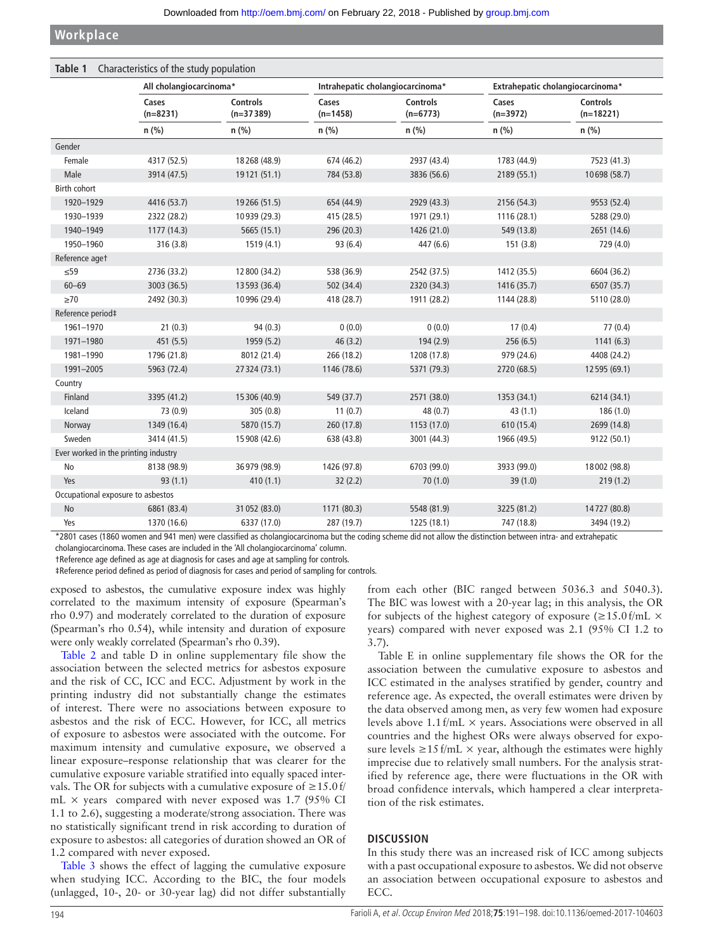**Workplace**

<span id="page-3-0"></span>

| Table 1<br>Characteristics of the study population |                                     |                                                   |                                        |                                |                                  |                                |  |  |
|----------------------------------------------------|-------------------------------------|---------------------------------------------------|----------------------------------------|--------------------------------|----------------------------------|--------------------------------|--|--|
|                                                    | All cholangiocarcinoma*             |                                                   | Intrahepatic cholangiocarcinoma*       |                                | Extrahepatic cholangiocarcinoma* |                                |  |  |
|                                                    | Cases<br>$(n=8231)$                 | <b>Controls</b><br>$(n=37389)$                    | Cases<br>$(n=1458)$                    | <b>Controls</b><br>$(n=6773)$  | Cases<br>$(n=3972)$              | <b>Controls</b><br>$(n=18221)$ |  |  |
|                                                    | $n$ (%)                             | $n$ (%)                                           | $n$ (%)                                | $n$ (%)                        | $n$ (%)                          | $n$ (%)                        |  |  |
| Gender                                             |                                     |                                                   |                                        |                                |                                  |                                |  |  |
| Female                                             | 4317 (52.5)                         | 18268 (48.9)                                      | 674 (46.2)                             | 2937 (43.4)                    | 1783 (44.9)                      | 7523 (41.3)                    |  |  |
| Male                                               | 3914 (47.5)                         | 19121 (51.1)                                      | 784 (53.8)                             | 3836 (56.6)                    | 2189 (55.1)                      | 10698 (58.7)                   |  |  |
| Birth cohort                                       |                                     |                                                   |                                        |                                |                                  |                                |  |  |
| 1920-1929                                          | 4416 (53.7)                         | 19266 (51.5)                                      | 654 (44.9)                             | 2929 (43.3)                    | 2156 (54.3)                      | 9553 (52.4)                    |  |  |
| 1930-1939                                          | 2322 (28.2)                         | 10939 (29.3)                                      | 415 (28.5)                             | 1971 (29.1)                    | 1116 (28.1)                      | 5288 (29.0)                    |  |  |
| 1940-1949                                          | 1177 (14.3)                         | 5665(15.1)                                        | 296 (20.3)                             | 1426 (21.0)                    | 549 (13.8)                       | 2651 (14.6)                    |  |  |
| 1950-1960                                          | 316 (3.8)                           | 1519(4.1)                                         | 93 (6.4)                               | 447 (6.6)                      | 151(3.8)                         | 729 (4.0)                      |  |  |
| Reference aget                                     |                                     |                                                   |                                        |                                |                                  |                                |  |  |
| $\leq 59$                                          | 2736 (33.2)                         | 12 800 (34.2)                                     | 538 (36.9)                             | 2542 (37.5)                    | 1412 (35.5)                      | 6604 (36.2)                    |  |  |
| $60 - 69$                                          | 3003 (36.5)                         | 13 593 (36.4)                                     | 502 (34.4)                             | 2320 (34.3)                    | 1416 (35.7)                      | 6507 (35.7)                    |  |  |
| $\geq 70$                                          | 2492 (30.3)                         | 10996 (29.4)                                      | 418 (28.7)                             | 1911 (28.2)                    | 1144 (28.8)                      | 5110 (28.0)                    |  |  |
| Reference period‡                                  |                                     |                                                   |                                        |                                |                                  |                                |  |  |
| 1961-1970                                          | 21(0.3)                             | 94(0.3)                                           | 0(0.0)                                 | 0(0.0)                         | 17(0.4)                          | 77(0.4)                        |  |  |
| 1971-1980                                          | 451 (5.5)                           | 1959 (5.2)                                        | 46(3.2)                                | 194 (2.9)                      | 256(6.5)                         | 1141(6.3)                      |  |  |
| 1981-1990                                          | 1796 (21.8)                         | 8012 (21.4)                                       | 266 (18.2)                             | 1208 (17.8)                    | 979 (24.6)                       | 4408 (24.2)                    |  |  |
| 1991-2005                                          | 5963 (72.4)                         | 27324 (73.1)                                      | 1146 (78.6)                            | 5371 (79.3)                    | 2720 (68.5)                      | 12595 (69.1)                   |  |  |
| Country                                            |                                     |                                                   |                                        |                                |                                  |                                |  |  |
| Finland                                            | 3395 (41.2)                         | 15 306 (40.9)                                     | 549 (37.7)                             | 2571 (38.0)                    | 1353 (34.1)                      | 6214 (34.1)                    |  |  |
| Iceland                                            | 73 (0.9)                            | 305 (0.8)                                         | 11(0.7)                                | 48 (0.7)                       | 43(1.1)                          | 186 (1.0)                      |  |  |
| Norway                                             | 1349 (16.4)                         | 5870 (15.7)                                       | 260 (17.8)                             | 1153 (17.0)                    | 610 (15.4)                       | 2699 (14.8)                    |  |  |
| Sweden                                             | 3414 (41.5)                         | 15 908 (42.6)                                     | 638 (43.8)                             | 3001 (44.3)                    | 1966 (49.5)                      | 9122 (50.1)                    |  |  |
| Ever worked in the printing industry               |                                     |                                                   |                                        |                                |                                  |                                |  |  |
| No                                                 | 8138 (98.9)                         | 36979 (98.9)                                      | 1426 (97.8)                            | 6703 (99.0)                    | 3933 (99.0)                      | 18002 (98.8)                   |  |  |
| Yes                                                | 93(1.1)                             | 410(1.1)                                          | 32(2.2)                                | 70(1.0)                        | 39(1.0)                          | 219(1.2)                       |  |  |
| Occupational exposure to asbestos                  |                                     |                                                   |                                        |                                |                                  |                                |  |  |
| No                                                 | 6861 (83.4)                         | 31 052 (83.0)                                     | 1171 (80.3)                            | 5548 (81.9)                    | 3225 (81.2)                      | 14727 (80.8)                   |  |  |
| Yes                                                | 1370 (16.6)<br>$\sim$ $\sim$ $\sim$ | 6337 (17.0)<br>$\sim$ $\sim$ $\sim$ $\sim$ $\sim$ | 287 (19.7)<br><b>Contract Contract</b> | 1225 (18.1)<br>and the company | 747 (18.8)                       | 3494 (19.2)                    |  |  |

\*2801 cases (1860 women and 941 men) were classified as cholangiocarcinoma but the coding scheme did not allow the distinction between intra- and extrahepatic cholangiocarcinoma. These cases are included in the 'All cholangiocarcinoma' column.

†Reference age defined as age at diagnosis for cases and age at sampling for controls.

‡Reference period defined as period of diagnosis for cases and period of sampling for controls.

exposed to asbestos, the cumulative exposure index was highly correlated to the maximum intensity of exposure (Spearman's rho 0.97) and moderately correlated to the duration of exposure (Spearman's rho 0.54), while intensity and duration of exposure were only weakly correlated (Spearman's rho 0.39).

[Table](#page-4-0) 2 and table D in online [supplementary file](https://dx.doi.org/10.1136/oemed-2017-104603) show the association between the selected metrics for asbestos exposure and the risk of CC, ICC and ECC. Adjustment by work in the printing industry did not substantially change the estimates of interest. There were no associations between exposure to asbestos and the risk of ECC. However, for ICC, all metrics of exposure to asbestos were associated with the outcome. For maximum intensity and cumulative exposure, we observed a linear exposure–response relationship that was clearer for the cumulative exposure variable stratified into equally spaced intervals. The OR for subjects with a cumulative exposure of  $\geq 15.0$  f/ mL  $\times$  years compared with never exposed was 1.7 (95% CI 1.1 to 2.6), suggesting a moderate/strong association. There was no statistically significant trend in risk according to duration of exposure to asbestos: all categories of duration showed an OR of 1.2 compared with never exposed.

[Table](#page-5-0) 3 shows the effect of lagging the cumulative exposure when studying ICC. According to the BIC, the four models (unlagged, 10-, 20- or 30-year lag) did not differ substantially

from each other (BIC ranged between 5036.3 and 5040.3). The BIC was lowest with a 20-year lag; in this analysis, the OR for subjects of the highest category of exposure ( $\geq 15.0$  f/mL  $\times$ years) compared with never exposed was 2.1 (95% CI 1.2 to 3.7).

Table E in online [supplementary file](https://dx.doi.org/10.1136/oemed-2017-104603) shows the OR for the association between the cumulative exposure to asbestos and ICC estimated in the analyses stratified by gender, country and reference age. As expected, the overall estimates were driven by the data observed among men, as very few women had exposure levels above  $1.1$  f/mL  $\times$  years. Associations were observed in all countries and the highest ORs were always observed for exposure levels  $\geq$  15 f/mL  $\times$  year, although the estimates were highly imprecise due to relatively small numbers. For the analysis stratified by reference age, there were fluctuations in the OR with broad confidence intervals, which hampered a clear interpretation of the risk estimates.

#### **Discussion**

In this study there was an increased risk of ICC among subjects with a past occupational exposure to asbestos. We did not observe an association between occupational exposure to asbestos and ECC.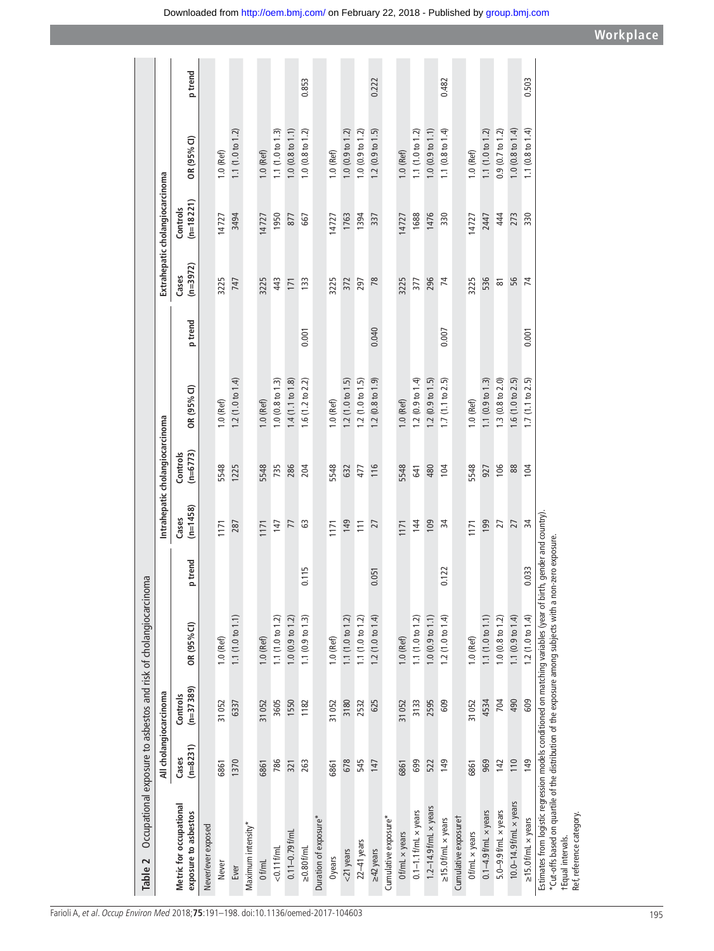<span id="page-4-0"></span>

| Table 2                                                                                                                                                                                                |                     |                         | Occupational exposure to asbestos and risk of cholangiocarcinoma |                        |                     |                                 |                             |         |                     |                                 |                             |         |
|--------------------------------------------------------------------------------------------------------------------------------------------------------------------------------------------------------|---------------------|-------------------------|------------------------------------------------------------------|------------------------|---------------------|---------------------------------|-----------------------------|---------|---------------------|---------------------------------|-----------------------------|---------|
|                                                                                                                                                                                                        |                     | All cholangiocarcinoma  |                                                                  |                        |                     | Intrahepatic cholangiocarcinoma |                             |         |                     | Extrahepatic cholangiocarcinoma |                             |         |
| Metric for occupational<br>exposure to asbestos                                                                                                                                                        | $(n=8231)$<br>Cases | $(n=37389)$<br>Controls | OR (95% CI)                                                      | p trend                | $(n=1458)$<br>Cases | $(n=6773)$<br>Controls          | OR (95% CI)                 | p trend | $(n=3972)$<br>Cases | $(n=18221)$<br>Controls         | OR (95% CI)                 | p trend |
| Never/ever exposed                                                                                                                                                                                     |                     |                         |                                                                  |                        |                     |                                 |                             |         |                     |                                 |                             |         |
| Never                                                                                                                                                                                                  | 6861                | 31052                   | $1.0$ (Ref)                                                      |                        | 1171                | 5548                            | $1.0$ (Ref)                 |         | 3225                | 14727                           | $1.0$ (Ref)                 |         |
| Ever                                                                                                                                                                                                   | 1370                | 6337                    | 1.1(1.0 to 1.1)                                                  |                        | 287                 | 1225                            | 1.2(1.0 to 1.4)             |         | 747                 | 3494                            | 1.1(1.0 to 1.2)             |         |
| Maximum intensity*                                                                                                                                                                                     |                     |                         |                                                                  |                        |                     |                                 |                             |         |                     |                                 |                             |         |
| 0 f/mL                                                                                                                                                                                                 | 6861                | 31052                   | $1.0$ (Ref)                                                      |                        | 1171                | 5548                            | $1.0$ (Ref)                 |         | 3225                | 14727                           | $1.0$ (Ref)                 |         |
| $<$ 0.11 f/mL                                                                                                                                                                                          | 786                 | 3605                    | 1.1(1.0 to 1.2)                                                  |                        | 147                 | 735                             | $1.0(0.8 \text{ to } 1.3)$  |         | 443                 | 1950                            | 1.1(1.0 to 1.3)             |         |
| $0.11 - 0.79$ f/mL                                                                                                                                                                                     | 321                 | 1550                    | 1.0(0.9 to 1.2)                                                  |                        | 77                  | 286                             | 1.4(1.1 to 1.8)             |         | 171                 | 877                             | 1.0(0.8 t 0 1.1)            |         |
| $\geq 0.80$ f/mL                                                                                                                                                                                       | 263                 | 1182                    | 1.1(0.9 to 1.3)                                                  | 0.115                  | ය                   | 204                             | 1.6 $(1.2 to 2.2)$          | 0.001   | 133                 | 667                             | $1.0(0.8 \text{ to } 1.2)$  | 0.853   |
| Duration of exposure*                                                                                                                                                                                  |                     |                         |                                                                  |                        |                     |                                 |                             |         |                     |                                 |                             |         |
| Oyears                                                                                                                                                                                                 | 6861                | 31052                   | $1.0$ (Ref)                                                      |                        | 1171                | 5548                            | $1.0$ (Ref)                 |         | 3225                | 14727                           | $1.0$ (Ref)                 |         |
| <21 years                                                                                                                                                                                              | 678                 | 3180                    | 1.1(1.0 to 1.2)                                                  |                        | 149                 | 632                             | 1.2(1.0 to 1.5)             |         | 372                 | 1763                            | 1.0(0.9 to 1.2)             |         |
| $22-41$ years                                                                                                                                                                                          | 545                 | 2532                    | 1.1 $(1.0 \text{ to } 1.2)$                                      |                        | 111                 | 477                             | 1.2(1.0 to 1.5)             |         | 297                 | 1394                            | 1.0(0.9 to 1.2)             |         |
| ≥42 years                                                                                                                                                                                              | 147                 | 625                     | 1.2 (1.0 to 1.4)                                                 | 0.051                  | 27                  | 116                             | $1.2(0.8 \text{ to } 1.9)$  | 0.040   | $\frac{1}{8}$       | 337                             | 1.2(0.9 to 1.5)             | 0.222   |
| Cumulative exposure*                                                                                                                                                                                   |                     |                         |                                                                  |                        |                     |                                 |                             |         |                     |                                 |                             |         |
| $0$ f/mL $\times$ years                                                                                                                                                                                | 6861                | 31052                   | $1.0$ (Ref)                                                      |                        | 1171                | 5548                            | $1.0$ (Ref)                 |         | 3225                | 14727                           | $1.0$ (Ref)                 |         |
| $0.1 - 1.1$ f/mL $\times$ years                                                                                                                                                                        | 699                 | 3133                    | 1.1 $(1.0 \text{ to } 1.2)$                                      |                        | 144                 | 641                             | 1.2(0.9 to 1.4)             |         | 377                 | 1688                            | 1.1 $(1.0 \text{ to } 1.2)$ |         |
| 1.2-14.9 $f$ ImL $\times$ years                                                                                                                                                                        | 522                 | 2595                    | 1.0(0.9 to 1.1)                                                  |                        | 109                 | 480                             | 1.2(0.9 to 1.5)             |         | 296                 | 1476                            | 1.0(0.9 to 1.1)             |         |
| $\ge$ 15.0 f/mL $\times$ years                                                                                                                                                                         | 149                 | 609                     | 1.2(1.0 to 1.4)                                                  | 0.122                  | 54                  | 104                             | $1.7(1.1 \text{ to } 2.5)$  | 0.007   | 74                  | 330                             | 1.1 $(0.8 \text{ to } 1.4)$ | 0.482   |
| Cumulative exposuret                                                                                                                                                                                   |                     |                         |                                                                  |                        |                     |                                 |                             |         |                     |                                 |                             |         |
| $0$ f/mL $\times$ years                                                                                                                                                                                | 6861                | 31052                   | $1.0$ (Ref)                                                      |                        | 1171                | 5548                            | $1.0$ (Ref)                 |         | 3225                | 14727                           | $1.0$ (Ref)                 |         |
| $0.1 - 4.9$ f/mL $\times$ years                                                                                                                                                                        | 969                 | 4534                    | 1.1 $(1.0 to 1.1)$                                               |                        | 199                 | 927                             | $1.1$ (0.9 to 1.3)          |         | 536                 | 2447                            | 1.1 $(1.0 t0 1.2)$          |         |
| 5.0-9.9 $f$ ImL $\times$ years                                                                                                                                                                         | 142                 | 704                     | $1.0(0.8 \text{ to } 1.2)$                                       |                        | 27                  | 106                             | 1.3(0.8 to 2.0)             |         | $\overline{\infty}$ | 444                             | 0.9(0.7 t 0 1.2)            |         |
| $10.0 - 14.9$ f/mL $\times$ years                                                                                                                                                                      | 110                 | 490                     | 1.1 $(0.9 \text{ to } 1.4)$                                      |                        | 27                  | 88                              | 1.6 $(1.0 \text{ to } 2.5)$ |         | 95                  | 273                             | 1.0 $(0.8 \text{ to } 1.4)$ |         |
| $\ge$ 15.0f/mL $\times$ years                                                                                                                                                                          | 149                 | 609                     | 1.2(1.0 to 1.4)                                                  | 0.033                  | $\overline{34}$     | 104                             | 1.7(1.1 to 2.5)             | 0.001   | $\overline{z}$      | 330                             | 1.1 $(0.8 \text{ to } 1.4)$ | 0.503   |
| *Cut-offs based on quartile of the distribution of the exposure among subjects with a non-zero exposure.<br>Estimates from logistic regression models conditioned on matching variables (year of birth |                     |                         |                                                                  | , gender and country). |                     |                                 |                             |         |                     |                                 |                             |         |
| tEqual intervals.                                                                                                                                                                                      |                     |                         |                                                                  |                        |                     |                                 |                             |         |                     |                                 |                             |         |
| Ref, reference category.                                                                                                                                                                               |                     |                         |                                                                  |                        |                     |                                 |                             |         |                     |                                 |                             |         |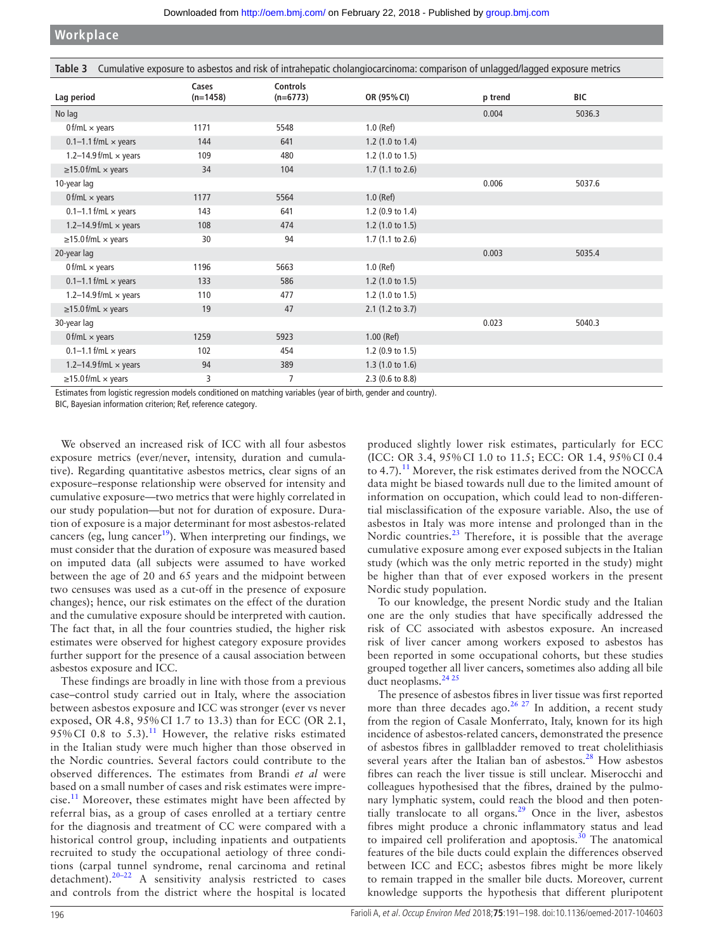**Workplace**

<span id="page-5-0"></span>

| Table 3 Cumulative exposure to asbestos and risk of intrahepatic cholangiocarcinoma: comparison of unlagged/lagged exposure metrics |  |  |  |  |
|-------------------------------------------------------------------------------------------------------------------------------------|--|--|--|--|
|                                                                                                                                     |  |  |  |  |

|                                 | Cases      | <b>Controls</b> |                             |         |        |
|---------------------------------|------------|-----------------|-----------------------------|---------|--------|
| Lag period                      | $(n=1458)$ | $(n=6773)$      | OR (95% CI)                 | p trend | BIC    |
| No lag                          |            |                 |                             | 0.004   | 5036.3 |
| $0$ f/mL $\times$ years         | 1171       | 5548            | $1.0$ (Ref)                 |         |        |
| $0.1 - 1.1$ f/mL $\times$ years | 144        | 641             | 1.2 $(1.0 \text{ to } 1.4)$ |         |        |
| 1.2-14.9 f/mL $\times$ years    | 109        | 480             | 1.2 (1.0 to 1.5)            |         |        |
| $\ge$ 15.0 f/mL $\times$ years  | 34         | 104             | $1.7(1.1 \text{ to } 2.6)$  |         |        |
| 10-year lag                     |            |                 |                             | 0.006   | 5037.6 |
| 0 f/mL $\times$ years           | 1177       | 5564            | $1.0$ (Ref)                 |         |        |
| $0.1 - 1.1$ f/mL $\times$ years | 143        | 641             | 1.2 $(0.9 \text{ to } 1.4)$ |         |        |
| 1.2-14.9 f/mL $\times$ years    | 108        | 474             | 1.2 $(1.0 \text{ to } 1.5)$ |         |        |
| $\ge$ 15.0 f/mL $\times$ years  | 30         | 94              | $1.7(1.1 \text{ to } 2.6)$  |         |        |
| 20-year lag                     |            |                 |                             | 0.003   | 5035.4 |
| 0 f/mL $\times$ years           | 1196       | 5663            | $1.0$ (Ref)                 |         |        |
| $0.1 - 1.1$ f/mL $\times$ years | 133        | 586             | $1.2$ (1.0 to 1.5)          |         |        |
| 1.2-14.9 f/mL $\times$ years    | 110        | 477             | $1.2$ (1.0 to 1.5)          |         |        |
| $\ge$ 15.0 f/mL $\times$ years  | 19         | 47              | $2.1$ (1.2 to 3.7)          |         |        |
| 30-year lag                     |            |                 |                             | 0.023   | 5040.3 |
| 0 f/mL $\times$ years           | 1259       | 5923            | $1.00$ (Ref)                |         |        |
| $0.1 - 1.1$ f/mL $\times$ years | 102        | 454             | $1.2$ (0.9 to $1.5$ )       |         |        |
| 1.2-14.9 f/mL $\times$ years    | 94         | 389             | 1.3(1.0 to 1.6)             |         |        |
| $\ge$ 15.0 f/mL $\times$ years  | 3          | $\overline{7}$  | 2.3 (0.6 to 8.8)            |         |        |

Estimates from logistic regression models conditioned on matching variables (year of birth, gender and country).

BIC, Bayesian information criterion; Ref, reference category.

We observed an increased risk of ICC with all four asbestos exposure metrics (ever/never, intensity, duration and cumulative). Regarding quantitative asbestos metrics, clear signs of an exposure–response relationship were observed for intensity and cumulative exposure—two metrics that were highly correlated in our study population—but not for duration of exposure. Duration of exposure is a major determinant for most asbestos-related cancers (eg, lung cancer $19$ ). When interpreting our findings, we must consider that the duration of exposure was measured based on imputed data (all subjects were assumed to have worked between the age of 20 and 65 years and the midpoint between two censuses was used as a cut-off in the presence of exposure changes); hence, our risk estimates on the effect of the duration and the cumulative exposure should be interpreted with caution. The fact that, in all the four countries studied, the higher risk estimates were observed for highest category exposure provides further support for the presence of a causal association between asbestos exposure and ICC.

These findings are broadly in line with those from a previous case–control study carried out in Italy, where the association between asbestos exposure and ICC was stronger (ever vs never exposed, OR 4.8, 95%CI 1.7 to 13.3) than for ECC (OR 2.1, 95% CI 0.8 to 5.3).<sup>11</sup> However, the relative risks estimated in the Italian study were much higher than those observed in the Nordic countries. Several factors could contribute to the observed differences. The estimates from Brandi *et al* were based on a small number of cases and risk estimates were imprecise.<sup>11</sup> Moreover, these estimates might have been affected by referral bias, as a group of cases enrolled at a tertiary centre for the diagnosis and treatment of CC were compared with a historical control group, including inpatients and outpatients recruited to study the occupational aetiology of three conditions (carpal tunnel syndrome, renal carcinoma and retinal detachment). $20-22$  A sensitivity analysis restricted to cases and controls from the district where the hospital is located

produced slightly lower risk estimates, particularly for ECC (ICC: OR 3.4, 95%CI 1.0 to 11.5; ECC: OR 1.4, 95%CI 0.4 to 4.7).<sup>[11](#page-7-6)</sup> Morever, the risk estimates derived from the NOCCA data might be biased towards null due to the limited amount of information on occupation, which could lead to non-differential misclassification of the exposure variable. Also, the use of asbestos in Italy was more intense and prolonged than in the Nordic countries. $^{23}$  Therefore, it is possible that the average cumulative exposure among ever exposed subjects in the Italian study (which was the only metric reported in the study) might be higher than that of ever exposed workers in the present Nordic study population.

To our knowledge, the present Nordic study and the Italian one are the only studies that have specifically addressed the risk of CC associated with asbestos exposure. An increased risk of liver cancer among workers exposed to asbestos has been reported in some occupational cohorts, but these studies grouped together all liver cancers, sometimes also adding all bile duct neoplasms.[24 25](#page-7-17)

The presence of asbestos fibres in liver tissue was first reported more than three decades ago.<sup>26 27</sup> In addition, a recent study from the region of Casale Monferrato, Italy, known for its high incidence of asbestos-related cancers, demonstrated the presence of asbestos fibres in gallbladder removed to treat cholelithiasis several years after the Italian ban of asbestos.<sup>[28](#page-7-19)</sup> How asbestos fibres can reach the liver tissue is still unclear. Miserocchi and colleagues hypothesised that the fibres, drained by the pulmonary lymphatic system, could reach the blood and then potentially translocate to all organs[.29](#page-7-20) Once in the liver, asbestos fibres might produce a chronic inflammatory status and lead to impaired cell proliferation and apoptosis. $3<sup>30</sup>$  The anatomical features of the bile ducts could explain the differences observed between ICC and ECC; asbestos fibres might be more likely to remain trapped in the smaller bile ducts. Moreover, current knowledge supports the hypothesis that different pluripotent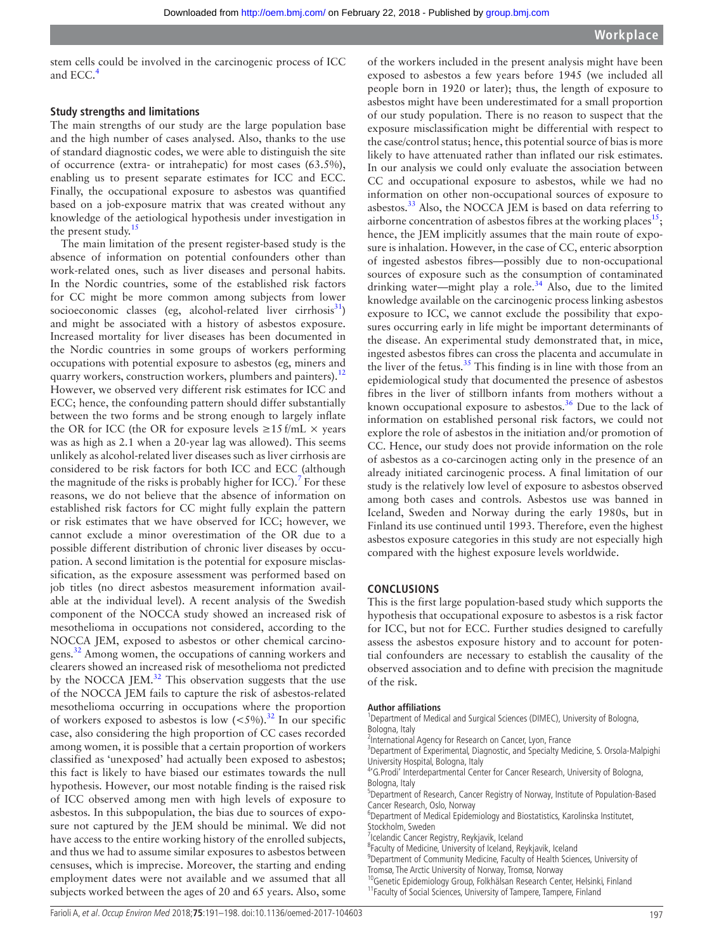stem cells could be involved in the carcinogenic process of ICC and ECC.[4](#page-7-3)

#### **Study strengths and limitations**

The main strengths of our study are the large population base and the high number of cases analysed. Also, thanks to the use of standard diagnostic codes, we were able to distinguish the site of occurrence (extra- or intrahepatic) for most cases (63.5%), enabling us to present separate estimates for ICC and ECC. Finally, the occupational exposure to asbestos was quantified based on a job-exposure matrix that was created without any knowledge of the aetiological hypothesis under investigation in the present study. $15$ 

The main limitation of the present register-based study is the absence of information on potential confounders other than work-related ones, such as liver diseases and personal habits. In the Nordic countries, some of the established risk factors for CC might be more common among subjects from lower socioeconomic classes (eg, alcohol-related liver cirrhosis $^{31}$ ) and might be associated with a history of asbestos exposure. Increased mortality for liver diseases has been documented in the Nordic countries in some groups of workers performing occupations with potential exposure to asbestos (eg, miners and quarry workers, construction workers, plumbers and painters).<sup>[12](#page-7-7)</sup> However, we observed very different risk estimates for ICC and ECC; hence, the confounding pattern should differ substantially between the two forms and be strong enough to largely inflate the OR for ICC (the OR for exposure levels  $\geq 15$  f/mL  $\times$  years was as high as 2.1 when a 20-year lag was allowed). This seems unlikely as alcohol-related liver diseases such as liver cirrhosis are considered to be risk factors for both ICC and ECC (although the magnitude of the risks is probably higher for ICC).<sup>[7](#page-7-23)</sup> For these reasons, we do not believe that the absence of information on established risk factors for CC might fully explain the pattern or risk estimates that we have observed for ICC; however, we cannot exclude a minor overestimation of the OR due to a possible different distribution of chronic liver diseases by occupation. A second limitation is the potential for exposure misclassification, as the exposure assessment was performed based on job titles (no direct asbestos measurement information available at the individual level). A recent analysis of the Swedish component of the NOCCA study showed an increased risk of mesothelioma in occupations not considered, according to the NOCCA JEM, exposed to asbestos or other chemical carcino-gens.<sup>[32](#page-7-24)</sup> Among women, the occupations of canning workers and clearers showed an increased risk of mesothelioma not predicted by the NOCCA JEM.<sup>32</sup> This observation suggests that the use of the NOCCA JEM fails to capture the risk of asbestos-related mesothelioma occurring in occupations where the proportion of workers exposed to asbestos is low  $(<5\%)$ .<sup>[32](#page-7-24)</sup> In our specific case, also considering the high proportion of CC cases recorded among women, it is possible that a certain proportion of workers classified as 'unexposed' had actually been exposed to asbestos; this fact is likely to have biased our estimates towards the null hypothesis. However, our most notable finding is the raised risk of ICC observed among men with high levels of exposure to asbestos. In this subpopulation, the bias due to sources of exposure not captured by the JEM should be minimal. We did not have access to the entire working history of the enrolled subjects, and thus we had to assume similar exposures to asbestos between censuses, which is imprecise. Moreover, the starting and ending employment dates were not available and we assumed that all subjects worked between the ages of 20 and 65 years. Also, some

of the workers included in the present analysis might have been exposed to asbestos a few years before 1945 (we included all people born in 1920 or later); thus, the length of exposure to asbestos might have been underestimated for a small proportion of our study population. There is no reason to suspect that the exposure misclassification might be differential with respect to the case/control status; hence, this potential source of bias is more likely to have attenuated rather than inflated our risk estimates. In our analysis we could only evaluate the association between CC and occupational exposure to asbestos, while we had no information on other non-occupational sources of exposure to asbestos.<sup>33</sup> Also, the NOCCA JEM is based on data referring to airborne concentration of asbestos fibres at the working places<sup>[15](#page-7-10)</sup>; hence, the JEM implicitly assumes that the main route of exposure is inhalation. However, in the case of CC, enteric absorption of ingested asbestos fibres—possibly due to non-occupational sources of exposure such as the consumption of contaminated drinking water—might play a role.<sup>34</sup> Also, due to the limited knowledge available on the carcinogenic process linking asbestos exposure to ICC, we cannot exclude the possibility that exposures occurring early in life might be important determinants of the disease. An experimental study demonstrated that, in mice, ingested asbestos fibres can cross the placenta and accumulate in the liver of the fetus.<sup>[35](#page-7-27)</sup> This finding is in line with those from an epidemiological study that documented the presence of asbestos fibres in the liver of stillborn infants from mothers without a known occupational exposure to asbestos. $36$  Due to the lack of information on established personal risk factors, we could not explore the role of asbestos in the initiation and/or promotion of CC. Hence, our study does not provide information on the role of asbestos as a co-carcinogen acting only in the presence of an already initiated carcinogenic process. A final limitation of our study is the relatively low level of exposure to asbestos observed among both cases and controls. Asbestos use was banned in Iceland, Sweden and Norway during the early 1980s, but in Finland its use continued until 1993. Therefore, even the highest asbestos exposure categories in this study are not especially high compared with the highest exposure levels worldwide.

#### **Conclusions**

This is the first large population-based study which supports the hypothesis that occupational exposure to asbestos is a risk factor for ICC, but not for ECC. Further studies designed to carefully assess the asbestos exposure history and to account for potential confounders are necessary to establish the causality of the observed association and to define with precision the magnitude of the risk.

#### **Author affiliations**

- <sup>1</sup>Department of Medical and Surgical Sciences (DIMEC), University of Bologna, Bologna, Italy <sup>2</sup>
- <sup>2</sup>International Agency for Research on Cancer, Lyon, France
- <sup>3</sup> Department of Experimental, Diagnostic, and Specialty Medicine, S. Orsola-Malpighi University Hospital, Bologna, Italy <sup>4</sup>

'G.Prodi' Interdepartmental Center for Cancer Research, University of Bologna, Bologna, Italy

<sup>5</sup>Department of Research, Cancer Registry of Norway, Institute of Population-Based Cancer Research, Oslo, Norway <sup>6</sup>

Department of Medical Epidemiology and Biostatistics, Karolinska Institutet, Stockholm, Sweden

- <sup>7</sup>Icelandic Cancer Registry, Reykjavik, Iceland
- <sup>8</sup>Faculty of Medicine, University of Iceland, Reykjavik, Iceland

<sup>9</sup>Department of Community Medicine, Faculty of Health Sciences, University of Tromsø, The Arctic University of

<sup>10</sup>Genetic Epidemiology Group, Folkhälsan Research Center, Helsinki, Finland<br><sup>11</sup>Faculty of Social Sciences, University of Tampere, Tampere, Finland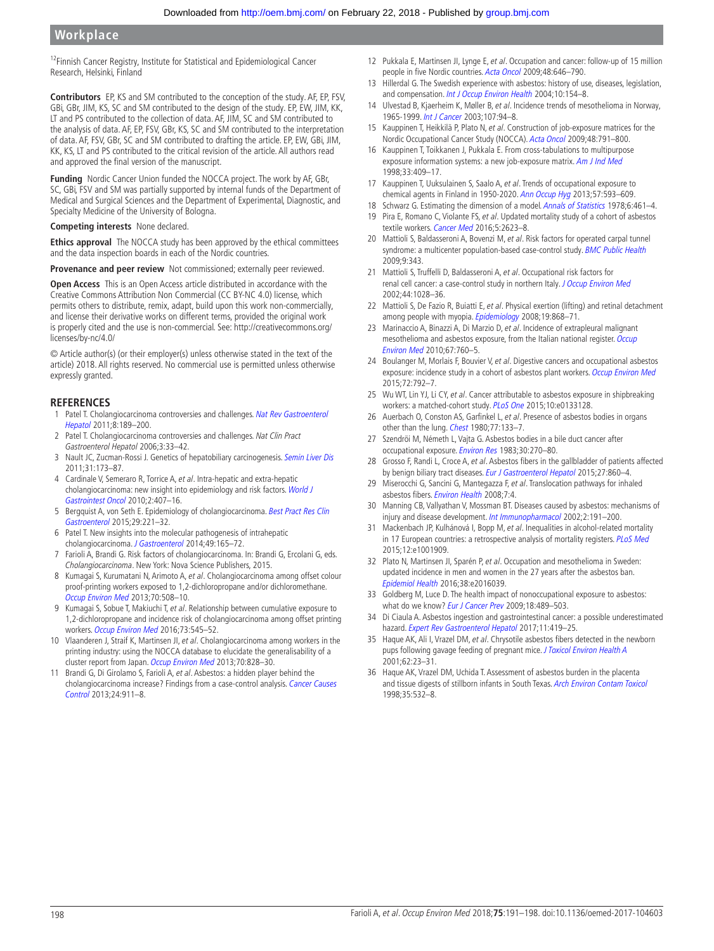# **Workplace**

<sup>12</sup>Finnish Cancer Registry, Institute for Statistical and Epidemiological Cancer Research, Helsinki, Finland

**Contributors** EP, KS and SM contributed to the conception of the study. AF, EP, FSV, GBi, GBr, JIM, KS, SC and SM contributed to the design of the study. EP, EW, JIM, KK, LT and PS contributed to the collection of data. AF, JIM, SC and SM contributed to the analysis of data. AF, EP, FSV, GBr, KS, SC and SM contributed to the interpretation of data. AF, FSV, GBr, SC and SM contributed to drafting the article. EP, EW, GBi, JIM, KK, KS, LT and PS contributed to the critical revision of the article. All authors read and approved the final version of the manuscript.

**Funding** Nordic Cancer Union funded the NOCCA project. The work by AF, GBr, SC, GBi, FSV and SM was partially supported by internal funds of the Department of Medical and Surgical Sciences and the Department of Experimental, Diagnostic, and Specialty Medicine of the University of Bologna.

#### **Competing interests** None declared.

**Ethics approval** The NOCCA study has been approved by the ethical committees and the data inspection boards in each of the Nordic countries.

**Provenance and peer review** Not commissioned; externally peer reviewed.

**Open Access** This is an Open Access article distributed in accordance with the Creative Commons Attribution Non Commercial (CC BY-NC 4.0) license, which permits others to distribute, remix, adapt, build upon this work non-commercially, and license their derivative works on different terms, provided the original work is properly cited and the use is non-commercial. See: [http://creativecommons.org/](http://creativecommons.org/licenses/by-nc/4.0/) [licenses/by-nc/4.0/](http://creativecommons.org/licenses/by-nc/4.0/)

© Article author(s) (or their employer(s) unless otherwise stated in the text of the article) 2018. All rights reserved. No commercial use is permitted unless otherwise expressly granted.

#### **References**

- <span id="page-7-0"></span>Patel T. Cholangiocarcinoma controversies and challenges. Nat Rev Gastroenterol [Hepatol](http://dx.doi.org/10.1038/nrgastro.2011.20) 2011;8:189-200.
- <span id="page-7-1"></span>2 Patel T. Cholangiocarcinoma controversies and challenges. Nat Clin Pract Gastroenterol Hepatol 2006;3:33–42.
- <span id="page-7-2"></span>3 Nault JC, Zucman-Rossi J. Genetics of hepatobiliary carcinogenesis. [Semin Liver Dis](http://dx.doi.org/10.1055/s-0031-1276646) 2011;31:173–87.
- <span id="page-7-3"></span>4 Cardinale V, Semeraro R, Torrice A, et al. Intra-hepatic and extra-hepatic cholangiocarcinoma: new insight into epidemiology and risk factors. World J [Gastrointest Oncol](http://dx.doi.org/10.4251/wjgo.v2.i11.407) 2010;2:407–16.
- <span id="page-7-4"></span>5 Bergquist A, von Seth E. Epidemiology of cholangiocarcinoma. Best Pract Res Clin [Gastroenterol](http://dx.doi.org/10.1016/j.bpg.2015.02.003) 2015;29:221–32.
- <span id="page-7-5"></span>6 Patel T. New insights into the molecular pathogenesis of intrahepatic cholangiocarcinoma. [J Gastroenterol](http://dx.doi.org/10.1007/s00535-013-0894-y) 2014;49:165-72.
- <span id="page-7-23"></span>7 Farioli A, Brandi G. Risk factors of cholangiocarcinoma. In: Brandi G, Ercolani G, eds. Cholangiocarcinoma. New York: Nova Science Publishers, 2015.
- 8 Kumagai S, Kurumatani N, Arimoto A, et al. Cholangiocarcinoma among offset colour proof-printing workers exposed to 1,2-dichloropropane and/or dichloromethane. [Occup Environ Med](http://dx.doi.org/10.1136/oemed-2012-101246) 2013;70:508–10.
- 9 Kumagai S, Sobue T, Makiuchi T, et al. Relationship between cumulative exposure to 1,2-dichloropropane and incidence risk of cholangiocarcinoma among offset printing workers. [Occup Environ Med](http://dx.doi.org/10.1136/oemed-2015-103427) 2016;73:545-52.
- <span id="page-7-8"></span>10 Vlaanderen J, Straif K, Martinsen JI, et al. Cholangiocarcinoma among workers in the printing industry: using the NOCCA database to elucidate the generalisability of a cluster report from Japan. [Occup Environ Med](http://dx.doi.org/10.1136/oemed-2013-101500) 2013;70:828–30.
- <span id="page-7-6"></span>11 Brandi G, Di Girolamo S, Farioli A, et al. Asbestos: a hidden player behind the cholangiocarcinoma increase? Findings from a case-control analysis. Cancer Causes [Control](http://dx.doi.org/10.1007/s10552-013-0167-3) 2013;24:911–8.
- <span id="page-7-7"></span>12 Pukkala E, Martinsen JI, Lynge E, et al. Occupation and cancer: follow-up of 15 million people in five Nordic countries. [Acta Oncol](http://dx.doi.org/10.1080/02841860902913546) 2009;48:646-790.
- <span id="page-7-9"></span>13 Hillerdal G. The Swedish experience with asbestos: history of use, diseases, legislation, and compensation. [Int J Occup Environ Health](http://dx.doi.org/10.1179/oeh.2004.10.2.154) 2004;10:154-8.
- 14 Ulvestad B, Kjaerheim K, Møller B, et al. Incidence trends of mesothelioma in Norway, 1965-1999. [Int J Cancer](http://dx.doi.org/10.1002/ijc.11357) 2003;107:94-8.
- <span id="page-7-10"></span>15 Kauppinen T, Heikkilä P, Plato N, et al. Construction of job-exposure matrices for the Nordic Occupational Cancer Study (NOCCA). [Acta Oncol](http://dx.doi.org/10.1080/02841860902718747) 2009;48:791–800.
- <span id="page-7-11"></span>16 Kauppinen T, Toikkanen J, Pukkala E. From cross-tabulations to multipurpose exposure information systems: a new job-exposure matrix. [Am J Ind Med](http://dx.doi.org/10.1002/(SICI)1097-0274(199804)33:4<409::AID-AJIM12>3.0.CO;2-2) 1998;33:409–17.
- <span id="page-7-12"></span>17 Kauppinen T, Uuksulainen S, Saalo A, et al. Trends of occupational exposure to chemical agents in Finland in 1950-2020. [Ann Occup Hyg](http://dx.doi.org/10.1093/annhyg/mes090) 2013;57:593–609.
- <span id="page-7-13"></span>18 Schwarz G. Estimating the dimension of a model. [Annals of Statistics](http://dx.doi.org/10.1214/aos/1176344136) 1978;6:461–4.
- <span id="page-7-14"></span>19 Pira E, Romano C, Violante FS, et al. Updated mortality study of a cohort of asbestos textile workers. [Cancer Med](http://dx.doi.org/10.1002/cam4.824) 2016;5:2623-8.
- <span id="page-7-15"></span>20 Mattioli S, Baldasseroni A, Bovenzi M, et al. Risk factors for operated carpal tunnel syndrome: a multicenter population-based case-control study. [BMC Public Health](http://dx.doi.org/10.1186/1471-2458-9-343) 2009;9:343.
- 21 Mattioli S, Truffelli D, Baldasseroni A, et al. Occupational risk factors for renal cell cancer: a case-control study in northern Italy. [J Occup Environ Med](http://dx.doi.org/10.1097/00043764-200211000-00009) 2002;44:1028–36.
- 22 Mattioli S, De Fazio R, Buiatti E, et al. Physical exertion (lifting) and retinal detachment among people with myopia. [Epidemiology](http://dx.doi.org/10.1097/EDE.0b013e318187a7da) 2008;19:868-71.
- <span id="page-7-16"></span>23 Marinaccio A, Binazzi A, Di Marzio D, et al. Incidence of extrapleural malignant mesothelioma and asbestos exposure, from the Italian national register. [Occup](http://dx.doi.org/10.1136/oem.2009.051466)  [Environ Med](http://dx.doi.org/10.1136/oem.2009.051466) 2010;67:760–5.
- <span id="page-7-17"></span>24 Boulanger M, Morlais F, Bouvier V, et al. Digestive cancers and occupational asbestos exposure: incidence study in a cohort of asbestos plant workers. [Occup Environ Med](http://dx.doi.org/10.1136/oemed-2015-102871) 2015;72:792–7.
- 25 Wu WT, Lin YJ, Li CY, et al. Cancer attributable to asbestos exposure in shipbreaking workers: a matched-cohort study. [PLoS One](http://dx.doi.org/10.1371/journal.pone.0133128) 2015;10:e0133128.
- <span id="page-7-18"></span>26 Auerbach O, Conston AS, Garfinkel L, et al. Presence of asbestos bodies in organs other than the lung. [Chest](http://dx.doi.org/10.1378/chest.77.2.133) 1980;77:133-7.
- 27 Szendröi M, Németh L, Vajta G. Asbestos bodies in a bile duct cancer after occupational exposure. [Environ Res](http://dx.doi.org/10.1016/0013-9351(83)90213-X) 1983;30:270–80.
- <span id="page-7-19"></span>28 Grosso F, Randi L, Croce A, et al. Asbestos fibers in the gallbladder of patients affected by benign biliary tract diseases. [Eur J Gastroenterol Hepatol](http://dx.doi.org/10.1097/MEG.0000000000000357) 2015;27:860–4.
- <span id="page-7-20"></span>29 Miserocchi G, Sancini G, Mantegazza F, et al. Translocation pathways for inhaled asbestos fibers. [Environ Health](http://dx.doi.org/10.1186/1476-069X-7-4) 2008;7:4.
- <span id="page-7-21"></span>30 Manning CB, Vallyathan V, Mossman BT. Diseases caused by asbestos: mechanisms of injury and disease development. *[Int Immunopharmacol](http://dx.doi.org/10.1016/S1567-5769(01)00172-2)* 2002;2:191-200.
- <span id="page-7-22"></span>31 Mackenbach JP, Kulhánová I, Bopp M, et al. Inequalities in alcohol-related mortality in 17 European countries: a retrospective analysis of mortality registers. [PLoS Med](http://dx.doi.org/10.1371/journal.pmed.1001909) 2015;12:e1001909.
- <span id="page-7-24"></span>32 Plato N, Martinsen JI, Sparén P, et al. Occupation and mesothelioma in Sweden: updated incidence in men and women in the 27 years after the asbestos ban. [Epidemiol Health](http://dx.doi.org/10.4178/epih.e2016039) 2016;38:e2016039.
- <span id="page-7-25"></span>33 Goldberg M, Luce D. The health impact of nonoccupational exposure to asbestos: what do we know? [Eur J Cancer Prev](http://dx.doi.org/10.1097/CEJ.0b013e32832f9bee) 2009;18:489-503.
- <span id="page-7-26"></span>34 Di Ciaula A. Asbestos ingestion and gastrointestinal cancer: a possible underestimated hazard. [Expert Rev Gastroenterol Hepatol](http://dx.doi.org/10.1080/17474124.2017.1300528) 2017;11:419-25.
- <span id="page-7-27"></span>35 Haque AK, Ali I, Vrazel DM, et al. Chrysotile asbestos fibers detected in the newborn pups following gavage feeding of pregnant mice. [J Toxicol Environ Health A](http://dx.doi.org/10.1080/00984100050201640) 2001;62:23–31.
- <span id="page-7-28"></span>36 Haque AK, Vrazel DM, Uchida T. Assessment of asbestos burden in the placenta and tissue digests of stillborn infants in South Texas. [Arch Environ Contam Toxicol](http://dx.doi.org/10.1007/s002449900413) 1998;35:532–8.